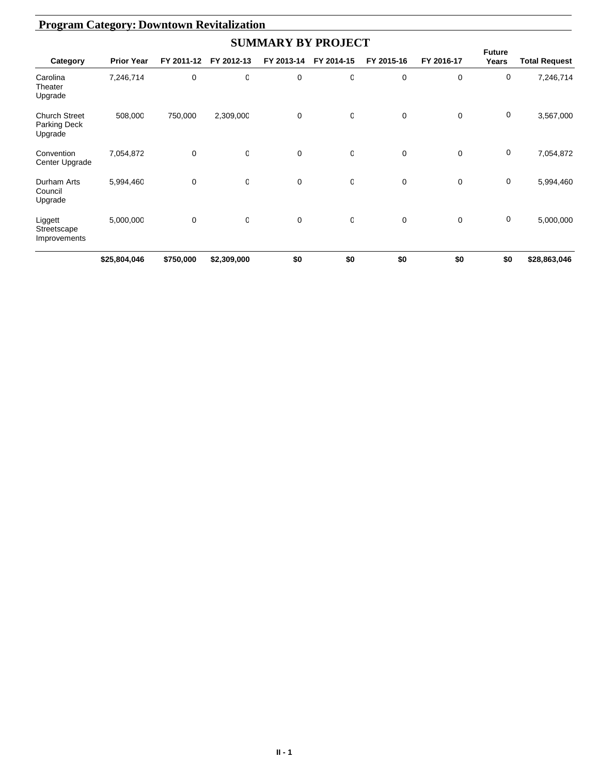| <b>Program Category: Downtown Revitalization</b> |                   |             |             |             |            |             |             |                        |                      |  |  |
|--------------------------------------------------|-------------------|-------------|-------------|-------------|------------|-------------|-------------|------------------------|----------------------|--|--|
| <b>SUMMARY BY PROJECT</b>                        |                   |             |             |             |            |             |             |                        |                      |  |  |
| Category                                         | <b>Prior Year</b> | FY 2011-12  | FY 2012-13  | FY 2013-14  | FY 2014-15 | FY 2015-16  | FY 2016-17  | <b>Future</b><br>Years | <b>Total Request</b> |  |  |
| Carolina<br>Theater<br>Upgrade                   | 7,246,714         | 0           | O           | 0           | 0          | 0           | 0           | 0                      | 7,246,714            |  |  |
| <b>Church Street</b><br>Parking Deck<br>Upgrade  | 508,000           | 750,000     | 2,309,000   | $\mathbf 0$ | 0          | $\mathbf 0$ | $\mathbf 0$ | 0                      | 3,567,000            |  |  |
| Convention<br>Center Upgrade                     | 7,054,872         | 0           | $\mathbf 0$ | 0           | 0          | 0           | $\mathbf 0$ | 0                      | 7,054,872            |  |  |
| Durham Arts<br>Council<br>Upgrade                | 5,994,460         | $\mathbf 0$ | O           | $\mathbf 0$ | 0          | $\mathbf 0$ | $\mathbf 0$ | 0                      | 5,994,460            |  |  |
| Liggett<br>Streetscape<br>Improvements           | 5,000,000         | 0           | $\mathbf 0$ | $\mathbf 0$ | 0          | 0           | 0           | $\mathbf 0$            | 5,000,000            |  |  |
|                                                  | \$25,804,046      | \$750,000   | \$2,309,000 | \$0         | \$0        | \$0         | \$0         | \$0                    | \$28,863,046         |  |  |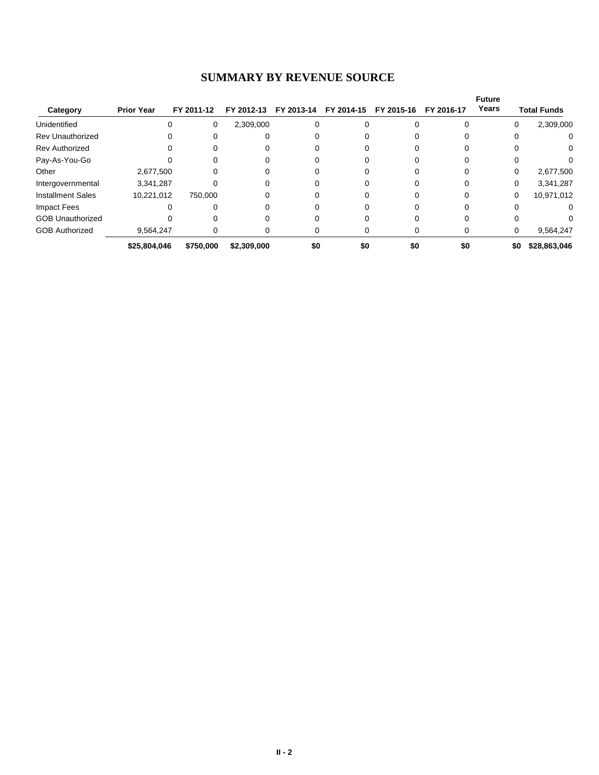#### **SUMMARY BY REVENUE SOURCE**

|                          |                   |            |             |            |            |            |            | <b>Future</b> |                       |
|--------------------------|-------------------|------------|-------------|------------|------------|------------|------------|---------------|-----------------------|
| Category                 | <b>Prior Year</b> | FY 2011-12 | FY 2012-13  | FY 2013-14 | FY 2014-15 | FY 2015-16 | FY 2016-17 | Years         | <b>Total Funds</b>    |
| Unidentified             |                   | 0          | 2,309,000   |            |            |            |            |               | 2,309,000<br>$\Omega$ |
| <b>Rev Unauthorized</b>  |                   |            |             |            |            |            |            |               | 0<br>0                |
| <b>Rev Authorized</b>    |                   |            |             |            |            |            |            |               | 0                     |
| Pay-As-You-Go            |                   |            |             |            |            |            |            |               |                       |
| Other                    | 2,677,500         |            |             |            |            |            |            |               | 2,677,500<br>0        |
| Intergovernmental        | 3,341,287         |            |             |            |            |            |            |               | 3,341,287<br>0        |
| <b>Installment Sales</b> | 10,221,012        | 750.000    | 0           |            |            |            |            |               | 10,971,012<br>0       |
| <b>Impact Fees</b>       |                   | U          |             |            |            |            |            |               | 0<br><sup>0</sup>     |
| <b>GOB Unauthorized</b>  |                   |            |             |            |            |            |            |               |                       |
| <b>GOB Authorized</b>    | 9,564,247         | 0          | 0           |            | O          |            |            |               | 9,564,247<br>0        |
|                          | \$25,804,046      | \$750,000  | \$2,309,000 | \$0        | \$0        | \$0        | \$0        |               | \$0<br>\$28,863,046   |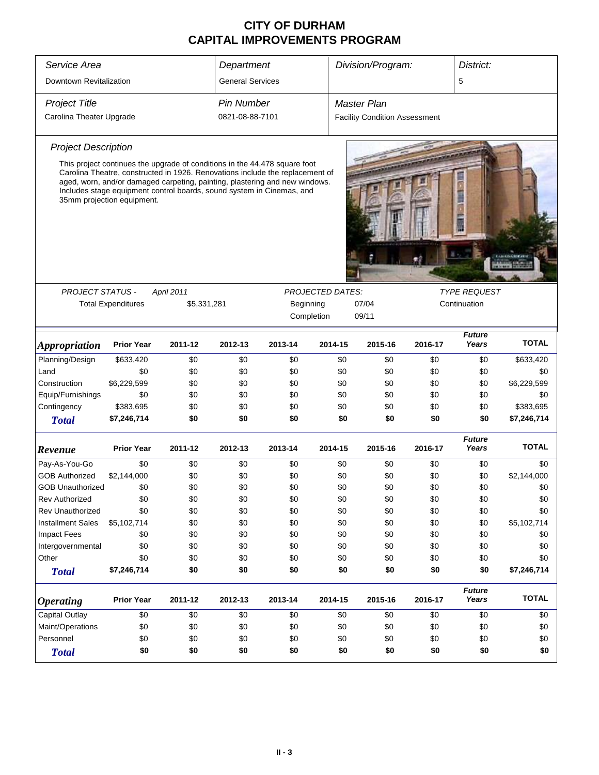| Service Area               |                           | Department                                                                                                                                                                                                                                                                                                          |                   |                         | Division/Program: |                                      | District: |                        |              |  |
|----------------------------|---------------------------|---------------------------------------------------------------------------------------------------------------------------------------------------------------------------------------------------------------------------------------------------------------------------------------------------------------------|-------------------|-------------------------|-------------------|--------------------------------------|-----------|------------------------|--------------|--|
| Downtown Revitalization    |                           | <b>General Services</b>                                                                                                                                                                                                                                                                                             |                   |                         |                   |                                      | 5         |                        |              |  |
| <b>Project Title</b>       |                           |                                                                                                                                                                                                                                                                                                                     | <b>Pin Number</b> |                         |                   | <b>Master Plan</b>                   |           |                        |              |  |
| Carolina Theater Upgrade   |                           |                                                                                                                                                                                                                                                                                                                     | 0821-08-88-7101   |                         |                   | <b>Facility Condition Assessment</b> |           |                        |              |  |
| <b>Project Description</b> |                           |                                                                                                                                                                                                                                                                                                                     |                   |                         |                   |                                      |           |                        |              |  |
| 35mm projection equipment. |                           | This project continues the upgrade of conditions in the 44,478 square foot<br>Carolina Theatre, constructed in 1926. Renovations include the replacement of<br>aged, worn, and/or damaged carpeting, painting, plastering and new windows.<br>Includes stage equipment control boards, sound system in Cinemas, and |                   |                         |                   |                                      |           |                        |              |  |
|                            |                           |                                                                                                                                                                                                                                                                                                                     |                   |                         |                   |                                      |           |                        |              |  |
| <b>PROJECT STATUS -</b>    |                           | <b>April 2011</b>                                                                                                                                                                                                                                                                                                   |                   | <b>PROJECTED DATES:</b> |                   |                                      |           | <b>TYPE REQUEST</b>    |              |  |
|                            | <b>Total Expenditures</b> | \$5,331,281                                                                                                                                                                                                                                                                                                         |                   | Beginning               |                   | 07/04                                |           | Continuation           |              |  |
|                            |                           |                                                                                                                                                                                                                                                                                                                     |                   | Completion              |                   | 09/11                                |           |                        |              |  |
| <b>Appropriation</b>       | <b>Prior Year</b>         | 2011-12                                                                                                                                                                                                                                                                                                             | 2012-13           | 2013-14                 | 2014-15           | 2015-16                              | 2016-17   | <b>Future</b><br>Years | <b>TOTAL</b> |  |
| Planning/Design            | \$633,420                 | \$0                                                                                                                                                                                                                                                                                                                 | \$0               | \$0                     | \$0               | \$0                                  | \$0       | \$0                    | \$633,420    |  |
| Land                       | \$0                       | \$0                                                                                                                                                                                                                                                                                                                 | \$0               | \$0                     | \$0               | \$0                                  | \$0       | \$0                    | \$0          |  |
| Construction               | \$6,229,599               | \$0                                                                                                                                                                                                                                                                                                                 | \$0               | \$0                     | \$0               | \$0                                  | \$0       | \$0                    | \$6,229,599  |  |
| Equip/Furnishings          | \$0                       | \$0                                                                                                                                                                                                                                                                                                                 | \$0               | \$0                     | \$0               | \$0                                  | \$0       | \$0                    | \$0          |  |
| Contingency                | \$383,695                 | \$0                                                                                                                                                                                                                                                                                                                 | \$0               | \$0                     | \$0               | \$0                                  | \$0       | \$0                    | \$383,695    |  |
| <b>Total</b>               | \$7,246,714               | \$0                                                                                                                                                                                                                                                                                                                 | \$0               | \$0                     | \$0               | \$0                                  | \$0       | \$0                    | \$7,246,714  |  |
| Revenue                    | <b>Prior Year</b>         | 2011-12                                                                                                                                                                                                                                                                                                             | 2012-13           | 2013-14                 | 2014-15           | 2015-16                              | 2016-17   | <b>Future</b><br>Years | <b>TOTAL</b> |  |
| Pay-As-You-Go              | \$0                       | \$0                                                                                                                                                                                                                                                                                                                 | \$0               | \$0                     | \$0               | \$0                                  | \$0       | \$0                    | \$0          |  |
| <b>GOB Authorized</b>      | \$2,144,000               | \$0                                                                                                                                                                                                                                                                                                                 | \$0               | \$0                     | \$0               | \$0                                  | \$0       | \$0                    | \$2,144,000  |  |
| <b>GOB Unauthorized</b>    | \$0                       | \$0                                                                                                                                                                                                                                                                                                                 | \$0               | \$0                     | \$0               | \$0                                  | \$0       | \$0                    | \$0          |  |
| <b>Rev Authorized</b>      | \$0                       | \$0                                                                                                                                                                                                                                                                                                                 | \$0               | \$0                     | \$0               | \$0                                  | \$0       | \$0                    | \$0          |  |
| <b>Rev Unauthorized</b>    | \$0                       | \$0                                                                                                                                                                                                                                                                                                                 | \$0               | \$0                     | \$0               | \$0                                  | \$0       | \$0                    | \$0          |  |
| <b>Installment Sales</b>   | \$5,102,714               | \$0                                                                                                                                                                                                                                                                                                                 | \$0               | \$0                     | \$0               | \$0                                  | \$0       | \$0                    | \$5,102,714  |  |
| <b>Impact Fees</b>         | \$0                       | \$0                                                                                                                                                                                                                                                                                                                 | \$0               | \$0                     | \$0               | \$0                                  | \$0       | \$0                    | \$0          |  |
| Intergovernmental          | \$0                       | \$0                                                                                                                                                                                                                                                                                                                 | \$0               | \$0                     | \$0               | \$0                                  | \$0       | \$0                    | \$0          |  |
| Other                      | \$0                       | \$0                                                                                                                                                                                                                                                                                                                 | \$0               | \$0                     | \$0               | \$0                                  | \$0       | \$0                    | \$0          |  |
| <b>Total</b>               | \$7,246,714               | \$0                                                                                                                                                                                                                                                                                                                 | \$0               | \$0                     | \$0               | \$0                                  | \$0       | \$0                    | \$7,246,714  |  |
| <b>Operating</b>           | <b>Prior Year</b>         | 2011-12                                                                                                                                                                                                                                                                                                             | 2012-13           | 2013-14                 | 2014-15           | 2015-16                              | 2016-17   | <b>Future</b><br>Years | <b>TOTAL</b> |  |
| Capital Outlay             | \$0                       | \$0                                                                                                                                                                                                                                                                                                                 | \$0               | \$0                     | \$0               | \$0                                  | \$0       | \$0                    | \$0          |  |
| Maint/Operations           | \$0                       | \$0                                                                                                                                                                                                                                                                                                                 | \$0               | \$0                     | \$0               | \$0                                  | \$0       | \$0                    | \$0          |  |
| Personnel                  | \$0                       | \$0                                                                                                                                                                                                                                                                                                                 | \$0               | \$0                     | \$0               | \$0                                  | \$0       | \$0                    | \$0          |  |
| <b>Total</b>               | \$0                       | \$0                                                                                                                                                                                                                                                                                                                 | \$0               | \$0                     | \$0               | \$0                                  | \$0       | \$0                    | \$0          |  |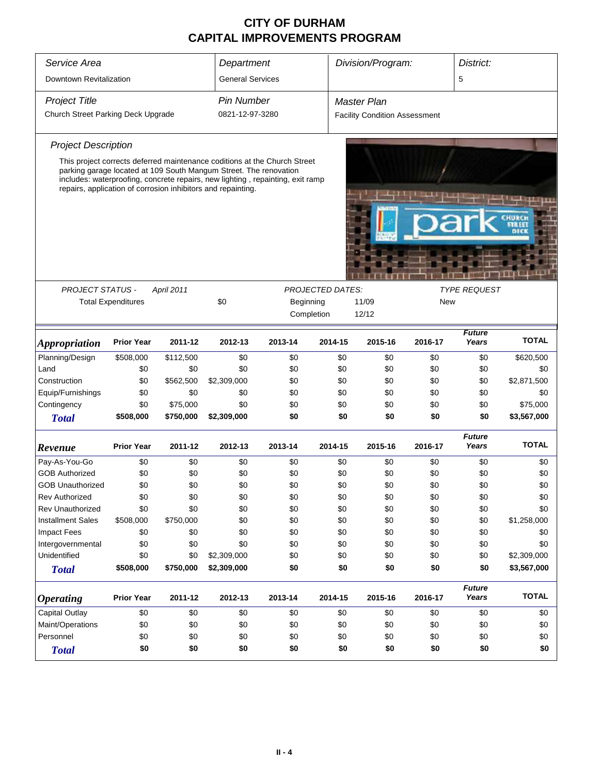| Service Area                       |                           | Department         |                                                                                                                                                                                                                     | Division/Program:                                                         |                         | District:                            |         |                        |              |  |
|------------------------------------|---------------------------|--------------------|---------------------------------------------------------------------------------------------------------------------------------------------------------------------------------------------------------------------|---------------------------------------------------------------------------|-------------------------|--------------------------------------|---------|------------------------|--------------|--|
| Downtown Revitalization            | <b>General Services</b>   |                    |                                                                                                                                                                                                                     |                                                                           |                         | 5                                    |         |                        |              |  |
| <b>Project Title</b>               | <b>Pin Number</b>         | <b>Master Plan</b> |                                                                                                                                                                                                                     |                                                                           |                         |                                      |         |                        |              |  |
| Church Street Parking Deck Upgrade |                           |                    | 0821-12-97-3280                                                                                                                                                                                                     |                                                                           |                         | <b>Facility Condition Assessment</b> |         |                        |              |  |
| <b>Project Description</b>         |                           |                    |                                                                                                                                                                                                                     |                                                                           |                         |                                      |         |                        |              |  |
|                                    |                           |                    |                                                                                                                                                                                                                     | This project corrects deferred maintenance coditions at the Church Street |                         |                                      |         |                        |              |  |
|                                    |                           |                    | parking garage located at 109 South Mangum Street. The renovation<br>includes: waterproofing, concrete repairs, new lighting, repainting, exit ramp<br>repairs, application of corrosion inhibitors and repainting. |                                                                           |                         |                                      |         |                        |              |  |
|                                    |                           |                    |                                                                                                                                                                                                                     |                                                                           |                         |                                      |         |                        |              |  |
|                                    |                           |                    |                                                                                                                                                                                                                     |                                                                           |                         |                                      |         |                        |              |  |
|                                    |                           |                    |                                                                                                                                                                                                                     |                                                                           |                         |                                      |         |                        |              |  |
| <b>PROJECT STATUS -</b>            |                           | April 2011         |                                                                                                                                                                                                                     |                                                                           | <b>PROJECTED DATES:</b> |                                      |         | <b>TYPE REQUEST</b>    |              |  |
|                                    | <b>Total Expenditures</b> |                    | \$0                                                                                                                                                                                                                 | Beginning                                                                 |                         | 11/09                                |         | <b>New</b>             |              |  |
|                                    |                           |                    |                                                                                                                                                                                                                     | Completion                                                                |                         | 12/12                                |         |                        |              |  |
| <i><b>Appropriation</b></i>        | <b>Prior Year</b>         | 2011-12            | 2012-13                                                                                                                                                                                                             | 2013-14                                                                   | 2014-15                 | 2015-16                              | 2016-17 | <b>Future</b><br>Years | <b>TOTAL</b> |  |
| Planning/Design                    | \$508,000                 | \$112,500          | \$0                                                                                                                                                                                                                 | \$0                                                                       | \$0                     | \$0                                  | \$0     | \$0                    | \$620,500    |  |
| Land                               | \$0                       | \$0                | \$0                                                                                                                                                                                                                 | \$0                                                                       | \$0                     | \$0                                  | \$0     | \$0                    | \$0          |  |
| Construction                       | \$0                       | \$562,500          | \$2,309,000                                                                                                                                                                                                         | \$0                                                                       | \$0                     | \$0                                  | \$0     | \$0                    | \$2,871,500  |  |
| Equip/Furnishings                  | \$0                       | \$0                | \$0                                                                                                                                                                                                                 | \$0                                                                       | \$0                     | \$0                                  | \$0     | \$0                    | \$0          |  |
| Contingency                        | \$0                       | \$75,000           | \$0                                                                                                                                                                                                                 | \$0                                                                       | \$0                     | \$0                                  | \$0     | \$0                    | \$75,000     |  |
| <b>Total</b>                       | \$508,000                 | \$750,000          | \$2,309,000                                                                                                                                                                                                         | \$0                                                                       | \$0                     | \$0                                  | \$0     | \$0                    | \$3,567,000  |  |
| Revenue                            | <b>Prior Year</b>         | 2011-12            | 2012-13                                                                                                                                                                                                             | 2013-14                                                                   | 2014-15                 | 2015-16                              | 2016-17 | <b>Future</b><br>Years | <b>TOTAL</b> |  |
| Pay-As-You-Go                      | \$0                       | \$0                | \$0                                                                                                                                                                                                                 | \$0                                                                       | \$0                     | \$0                                  | \$0     | \$0                    | \$0          |  |
| <b>GOB Authorized</b>              | \$0                       | \$0                | \$0                                                                                                                                                                                                                 | \$0                                                                       | \$0                     | \$0                                  | \$0     | \$0                    | \$0          |  |
| <b>GOB Unauthorized</b>            | \$0                       | \$0                | \$0                                                                                                                                                                                                                 | \$0                                                                       | \$0                     | \$0                                  | \$0     | \$0                    | \$0          |  |
| <b>Rev Authorized</b>              | \$0                       | \$0                | \$0                                                                                                                                                                                                                 | \$0                                                                       | \$0                     | \$0                                  | \$0     | \$0                    | \$0          |  |
| Rev Unauthorized                   | \$0                       | \$0                | \$0                                                                                                                                                                                                                 | \$0                                                                       | \$0                     | \$0                                  | \$0     | \$0                    | \$0          |  |
| <b>Installment Sales</b>           | \$508,000                 | \$750,000          | \$0                                                                                                                                                                                                                 | \$0                                                                       | \$0                     | \$0                                  | \$0     | \$0                    | \$1,258,000  |  |
| <b>Impact Fees</b>                 | \$0                       | \$0                | \$0                                                                                                                                                                                                                 | \$0                                                                       | \$0                     | \$0                                  | \$0     | \$0                    | \$0          |  |
| Intergovernmental                  | \$0                       | \$0                | \$0                                                                                                                                                                                                                 | \$0                                                                       | \$0                     | \$0                                  | \$0     | \$0                    | \$0          |  |
| Unidentified                       | \$0                       | \$0                | \$2,309,000                                                                                                                                                                                                         | \$0                                                                       | \$0                     | \$0                                  | \$0     | \$0                    | \$2,309,000  |  |
| <b>Total</b>                       | \$508,000                 | \$750,000          | \$2,309,000                                                                                                                                                                                                         | \$0                                                                       | \$0                     | \$0                                  | \$0     | \$0                    | \$3,567,000  |  |
| <b>Operating</b>                   | <b>Prior Year</b>         | 2011-12            | 2012-13                                                                                                                                                                                                             | 2013-14                                                                   | 2014-15                 | 2015-16                              | 2016-17 | <b>Future</b><br>Years | <b>TOTAL</b> |  |
| Capital Outlay                     | \$0                       | \$0                | \$0                                                                                                                                                                                                                 | \$0                                                                       | \$0                     | \$0                                  | \$0     | \$0                    | \$0          |  |
| Maint/Operations                   | \$0                       | \$0                | \$0                                                                                                                                                                                                                 | \$0                                                                       | \$0                     | \$0                                  | \$0     | \$0                    | \$0          |  |
| Personnel                          | \$0                       | \$0                | \$0                                                                                                                                                                                                                 | \$0                                                                       | \$0                     | \$0                                  | \$0     | \$0                    | \$0          |  |
| <b>Total</b>                       | \$0                       | \$0                | \$0                                                                                                                                                                                                                 | \$0                                                                       | \$0                     | \$0                                  | \$0     | \$0                    | \$0          |  |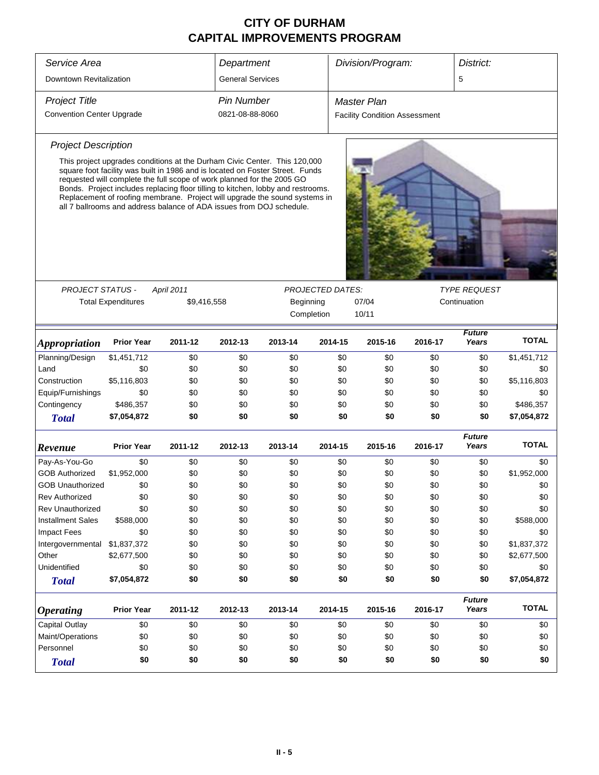| Service Area                     | Department                                                                                                                                     |                         |                 | Division/Program:                                                                                                                                                                                                                                                                                                            |                         | District:                            |         |                                     |              |  |  |
|----------------------------------|------------------------------------------------------------------------------------------------------------------------------------------------|-------------------------|-----------------|------------------------------------------------------------------------------------------------------------------------------------------------------------------------------------------------------------------------------------------------------------------------------------------------------------------------------|-------------------------|--------------------------------------|---------|-------------------------------------|--------------|--|--|
| Downtown Revitalization          |                                                                                                                                                | <b>General Services</b> |                 |                                                                                                                                                                                                                                                                                                                              |                         |                                      | 5       |                                     |              |  |  |
| <b>Project Title</b>             |                                                                                                                                                | <b>Pin Number</b>       |                 |                                                                                                                                                                                                                                                                                                                              | <b>Master Plan</b>      |                                      |         |                                     |              |  |  |
| <b>Convention Center Upgrade</b> |                                                                                                                                                |                         | 0821-08-88-8060 |                                                                                                                                                                                                                                                                                                                              |                         | <b>Facility Condition Assessment</b> |         |                                     |              |  |  |
| <b>Project Description</b>       |                                                                                                                                                |                         |                 |                                                                                                                                                                                                                                                                                                                              |                         |                                      |         |                                     |              |  |  |
|                                  | requested will complete the full scope of work planned for the 2005 GO<br>all 7 ballrooms and address balance of ADA issues from DOJ schedule. |                         |                 | This project upgrades conditions at the Durham Civic Center. This 120,000<br>square foot facility was built in 1986 and is located on Foster Street. Funds<br>Bonds. Project includes replacing floor tilling to kitchen, lobby and restrooms.<br>Replacement of roofing membrane. Project will upgrade the sound systems in |                         |                                      |         |                                     |              |  |  |
|                                  |                                                                                                                                                |                         |                 |                                                                                                                                                                                                                                                                                                                              |                         |                                      |         |                                     |              |  |  |
| <b>PROJECT STATUS -</b>          |                                                                                                                                                | April 2011              |                 |                                                                                                                                                                                                                                                                                                                              | <b>PROJECTED DATES:</b> |                                      |         | <b>TYPE REQUEST</b><br>Continuation |              |  |  |
|                                  | <b>Total Expenditures</b>                                                                                                                      | \$9,416,558             |                 | Beginning<br>Completion                                                                                                                                                                                                                                                                                                      |                         | 07/04                                |         |                                     |              |  |  |
|                                  |                                                                                                                                                |                         |                 |                                                                                                                                                                                                                                                                                                                              |                         | 10/11                                |         |                                     |              |  |  |
| <i><b>Appropriation</b></i>      | <b>Prior Year</b>                                                                                                                              | 2011-12                 | 2012-13         | 2013-14                                                                                                                                                                                                                                                                                                                      | 2014-15                 | 2015-16                              | 2016-17 | <b>Future</b><br>Years              | <b>TOTAL</b> |  |  |
| Planning/Design                  | \$1,451,712                                                                                                                                    | \$0                     | \$0             | \$0                                                                                                                                                                                                                                                                                                                          | \$0                     | \$0                                  | \$0     | \$0                                 | \$1,451,712  |  |  |
| Land                             | \$0                                                                                                                                            | \$0                     | \$0             | \$0                                                                                                                                                                                                                                                                                                                          | \$0                     | \$0                                  | \$0     | \$0                                 | \$0          |  |  |
| Construction                     | \$5,116,803                                                                                                                                    | \$0                     | \$0             | \$0                                                                                                                                                                                                                                                                                                                          | \$0                     | \$0                                  | \$0     | \$0                                 | \$5,116,803  |  |  |
| Equip/Furnishings                | \$0                                                                                                                                            | \$0                     | \$0             | \$0                                                                                                                                                                                                                                                                                                                          | \$0                     | \$0                                  | \$0     | \$0                                 | \$0          |  |  |
| Contingency                      | \$486,357                                                                                                                                      | \$0                     | \$0             | \$0                                                                                                                                                                                                                                                                                                                          | \$0                     | \$0                                  | \$0     | \$0                                 | \$486,357    |  |  |
| <b>Total</b>                     | \$7,054,872                                                                                                                                    | \$0                     | \$0             | \$0                                                                                                                                                                                                                                                                                                                          | \$0                     | \$0                                  | \$0     | \$0                                 | \$7,054,872  |  |  |
| Revenue                          | <b>Prior Year</b>                                                                                                                              | 2011-12                 | 2012-13         | 2013-14                                                                                                                                                                                                                                                                                                                      | 2014-15                 | 2015-16                              | 2016-17 | <b>Future</b><br>Years              | <b>TOTAL</b> |  |  |
| Pay-As-You-Go                    | \$0                                                                                                                                            | \$0                     | \$0             | \$0                                                                                                                                                                                                                                                                                                                          | \$0                     | \$0                                  | \$0     | \$0                                 | \$0          |  |  |
| <b>GOB Authorized</b>            | \$1,952,000                                                                                                                                    | \$0                     | \$0             | \$0                                                                                                                                                                                                                                                                                                                          | \$0                     | \$0                                  | \$0     | \$0                                 | \$1,952,000  |  |  |
| GOB Unauthorized                 | \$0                                                                                                                                            | \$0                     | \$0             | \$0                                                                                                                                                                                                                                                                                                                          | \$0                     | \$0                                  | \$0     | \$0                                 | \$0          |  |  |
| Rev Authorized                   | \$0                                                                                                                                            | \$0                     | \$0             | \$0                                                                                                                                                                                                                                                                                                                          | \$0                     | \$0                                  | \$0     | \$0                                 | \$0          |  |  |
| <b>Rev Unauthorized</b>          | \$0                                                                                                                                            | \$0                     | \$0             | \$0                                                                                                                                                                                                                                                                                                                          | \$0                     | \$0                                  | \$0     | \$0                                 | \$0          |  |  |
| <b>Installment Sales</b>         | \$588,000                                                                                                                                      | \$0                     | \$0             | \$0                                                                                                                                                                                                                                                                                                                          | \$0                     | \$0                                  | \$0     | \$0                                 | \$588,000    |  |  |
| <b>Impact Fees</b>               | \$0                                                                                                                                            | \$0                     | \$0             | \$0                                                                                                                                                                                                                                                                                                                          | \$0                     | \$0                                  | \$0     | \$0                                 | \$0          |  |  |
| Intergovernmental                | \$1,837,372                                                                                                                                    | \$0                     | \$0             | \$0                                                                                                                                                                                                                                                                                                                          | \$0                     | \$0                                  | \$0     | \$0                                 | \$1,837,372  |  |  |
| Other                            | \$2,677,500                                                                                                                                    | \$0                     | \$0             | \$0                                                                                                                                                                                                                                                                                                                          | \$0                     | \$0                                  | \$0     | \$0                                 | \$2,677,500  |  |  |
| Unidentified                     | \$0                                                                                                                                            | \$0                     | \$0             | \$0                                                                                                                                                                                                                                                                                                                          | \$0                     | \$0                                  | \$0     | \$0                                 | \$0          |  |  |
| <b>Total</b>                     | \$7,054,872                                                                                                                                    | \$0                     | \$0             | \$0                                                                                                                                                                                                                                                                                                                          | \$0                     | \$0                                  | \$0     | \$0                                 | \$7,054,872  |  |  |
| <b>Operating</b>                 | <b>Prior Year</b>                                                                                                                              | 2011-12                 | 2012-13         | 2013-14                                                                                                                                                                                                                                                                                                                      | 2014-15                 | 2015-16                              | 2016-17 | <b>Future</b><br>Years              | <b>TOTAL</b> |  |  |
| Capital Outlay                   | \$0                                                                                                                                            | \$0                     | \$0             | \$0                                                                                                                                                                                                                                                                                                                          | \$0                     | \$0                                  | \$0     | \$0                                 | \$0          |  |  |
| Maint/Operations                 | \$0                                                                                                                                            | \$0                     | \$0             | \$0                                                                                                                                                                                                                                                                                                                          | \$0                     | \$0                                  | \$0     | \$0                                 | \$0          |  |  |
| Personnel                        | \$0                                                                                                                                            | \$0                     | \$0             | \$0                                                                                                                                                                                                                                                                                                                          | \$0                     | \$0                                  | \$0     | \$0                                 | \$0          |  |  |
| <b>Total</b>                     | \$0                                                                                                                                            | \$0                     | \$0             | \$0                                                                                                                                                                                                                                                                                                                          | \$0                     | \$0                                  | \$0     | \$0                                 | \$0          |  |  |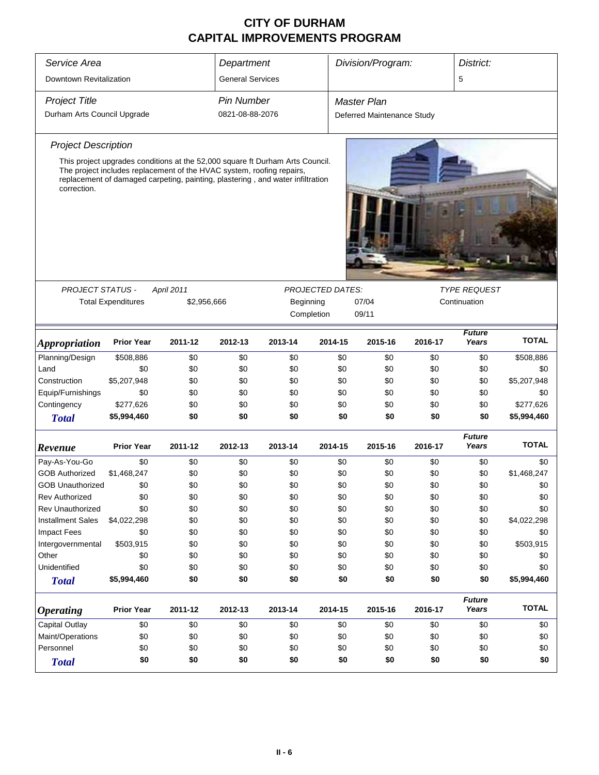| Service Area                |                                                                                                                                                                                                                                          |            | Department      |                    |                                                           | Division/Program:          |         | District:              |              |  |
|-----------------------------|------------------------------------------------------------------------------------------------------------------------------------------------------------------------------------------------------------------------------------------|------------|-----------------|--------------------|-----------------------------------------------------------|----------------------------|---------|------------------------|--------------|--|
| Downtown Revitalization     | <b>General Services</b>                                                                                                                                                                                                                  |            |                 |                    |                                                           | 5                          |         |                        |              |  |
| <b>Project Title</b>        | <b>Pin Number</b>                                                                                                                                                                                                                        |            |                 | <b>Master Plan</b> |                                                           |                            |         |                        |              |  |
| Durham Arts Council Upgrade |                                                                                                                                                                                                                                          |            | 0821-08-88-2076 |                    |                                                           | Deferred Maintenance Study |         |                        |              |  |
| <b>Project Description</b>  |                                                                                                                                                                                                                                          |            |                 |                    |                                                           |                            |         |                        |              |  |
| correction.                 | This project upgrades conditions at the 52,000 square ft Durham Arts Council.<br>The project includes replacement of the HVAC system, roofing repairs,<br>replacement of damaged carpeting, painting, plastering, and water infiltration |            |                 |                    |                                                           |                            |         |                        |              |  |
| <b>PROJECT STATUS -</b>     |                                                                                                                                                                                                                                          | April 2011 |                 |                    | <b>PROJECTED DATES:</b>                                   |                            |         | <b>TYPE REQUEST</b>    |              |  |
|                             | <b>Total Expenditures</b><br>\$2,956,666                                                                                                                                                                                                 |            |                 |                    | Beginning<br>07/04<br>Continuation<br>09/11<br>Completion |                            |         |                        |              |  |
|                             |                                                                                                                                                                                                                                          |            |                 |                    |                                                           |                            |         | <b>Future</b>          |              |  |
| <i><b>Appropriation</b></i> | <b>Prior Year</b>                                                                                                                                                                                                                        | 2011-12    | 2012-13         | 2013-14            | 2014-15                                                   | 2015-16                    | 2016-17 | Years                  | <b>TOTAL</b> |  |
| Planning/Design             | \$508,886                                                                                                                                                                                                                                | \$0        | \$0             | \$0                | \$0                                                       | \$0                        | \$0     | \$0                    | \$508,886    |  |
| Land                        | \$0                                                                                                                                                                                                                                      | \$0        | \$0             | \$0                | \$0                                                       | \$0                        | \$0     | \$0                    | \$0          |  |
| Construction                | \$5,207,948                                                                                                                                                                                                                              | \$0        | \$0             | \$0                | \$0                                                       | \$0                        | \$0     | \$0                    | \$5,207,948  |  |
| Equip/Furnishings           | \$0                                                                                                                                                                                                                                      | \$0        | \$0             | \$0                | \$0                                                       | \$0                        | \$0     | \$0                    | \$0          |  |
| Contingency                 | \$277,626                                                                                                                                                                                                                                | \$0        | \$0             | \$0                | \$0                                                       | \$0                        | \$0     | \$0                    | \$277,626    |  |
| <b>Total</b>                | \$5,994,460                                                                                                                                                                                                                              | \$0        | \$0             | \$0                | \$0                                                       | \$0                        | \$0     | \$0                    | \$5,994,460  |  |
| Revenue                     | <b>Prior Year</b>                                                                                                                                                                                                                        | 2011-12    | 2012-13         | 2013-14            | 2014-15                                                   | 2015-16                    | 2016-17 | <b>Future</b><br>Years | <b>TOTAL</b> |  |
| Pay-As-You-Go               | \$0                                                                                                                                                                                                                                      | \$0        | \$0             | \$0                | \$0                                                       | \$0                        | \$0     | \$0                    | \$0          |  |
| <b>GOB Authorized</b>       | \$1,468,247                                                                                                                                                                                                                              | \$0        | \$0             | \$0                | \$0                                                       | \$0                        | \$0     | \$0                    | \$1,468,247  |  |
| <b>GOB Unauthorized</b>     | \$0                                                                                                                                                                                                                                      | \$0        | \$0             | \$0                | \$0                                                       | \$0                        | \$0     | \$0                    | \$0          |  |
| Rev Authorized              | \$0                                                                                                                                                                                                                                      | \$0        | \$0             | \$0                | \$0                                                       | \$0                        | \$0     | \$0                    | \$0          |  |
| <b>Rev Unauthorized</b>     | \$0                                                                                                                                                                                                                                      | \$0        | \$0             | \$0                | \$0                                                       | \$0                        | \$0     | \$0                    | \$0          |  |
| <b>Installment Sales</b>    | \$4,022,298                                                                                                                                                                                                                              | \$0        | \$0             | \$0                | \$0                                                       | \$0                        | \$0     | \$0                    | \$4,022,298  |  |
| <b>Impact Fees</b>          | \$0                                                                                                                                                                                                                                      | \$0        | \$0             | \$0                | \$0                                                       | \$0                        | \$0     | \$0                    | \$0          |  |
| Intergovernmental           | \$503,915                                                                                                                                                                                                                                | \$0        | \$0             | \$0                | \$0                                                       | \$0                        | \$0     | \$0                    | \$503,915    |  |
| Other                       | \$0                                                                                                                                                                                                                                      | \$0        | \$0             | \$0                | \$0                                                       | \$0                        | \$0     | \$0                    | \$0          |  |
| Unidentified                | \$0                                                                                                                                                                                                                                      | \$0        | \$0             | \$0                | \$0                                                       | \$0                        | \$0     | \$0                    | \$0          |  |
| <b>Total</b>                | \$5,994,460                                                                                                                                                                                                                              | \$0        | \$0             | \$0                | \$0                                                       | \$0                        | \$0     | \$0                    | \$5,994,460  |  |
| <b>Operating</b>            | <b>Prior Year</b>                                                                                                                                                                                                                        | 2011-12    | 2012-13         | 2013-14            | 2014-15                                                   | 2015-16                    | 2016-17 | <b>Future</b><br>Years | <b>TOTAL</b> |  |
| Capital Outlay              | \$0                                                                                                                                                                                                                                      | \$0        | \$0             | \$0                | \$0                                                       | \$0                        | \$0     | \$0                    | \$0          |  |
| Maint/Operations            | \$0                                                                                                                                                                                                                                      | \$0        | \$0             | \$0                | \$0                                                       | \$0                        | \$0     | \$0                    | \$0          |  |
| Personnel                   | \$0                                                                                                                                                                                                                                      | \$0        | \$0             | \$0                | \$0                                                       | \$0                        | \$0     | \$0                    | \$0          |  |
| <b>Total</b>                | \$0                                                                                                                                                                                                                                      | \$0        | \$0             | \$0                | \$0                                                       | \$0                        | \$0     | \$0                    | \$0          |  |